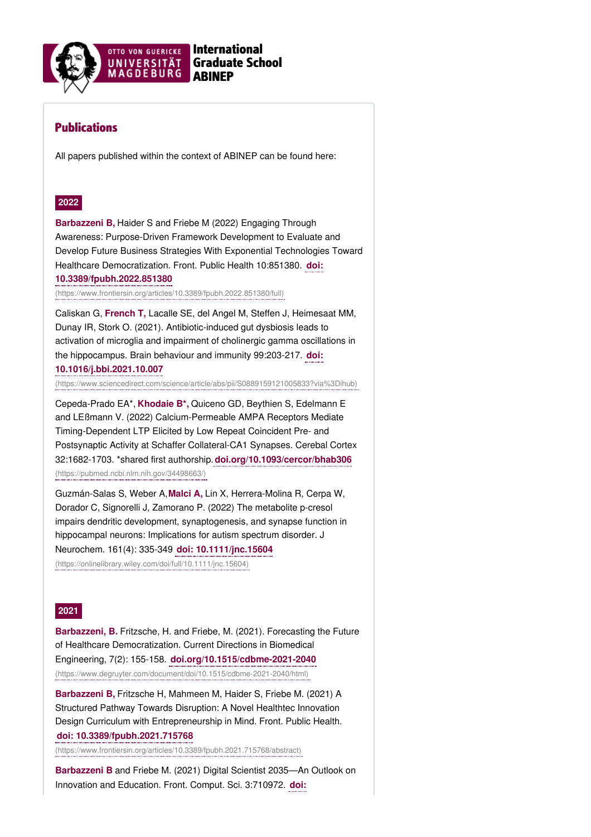

# Publications

All papers published within the context of ABINEP can be found here:

# **2022**

**Barbazzeni B,** Haider S and Friebe M (2022) Engaging Through Awareness: Purpose-Driven Framework Development to Evaluate and Develop Future Business Strategies With Exponential Technologies Toward Healthcare Democratization. Front. Public Health 10:851380. **doi: 10.3389/fpubh.2022.851380**

[\(https://www.frontiersin.org/articles/10.3389/fpubh.2022.851380/full\)](https://www.frontiersin.org/articles/10.3389/fpubh.2022.851380/full)

Caliskan G, **French T,** Lacalle SE, del Angel M, Steffen J, Heimesaat MM, Dunay IR, Stork O. (2021). Antibiotic-induced gut dysbiosis leads to activation of microglia and impairment of cholinergic gamma oscillations in the hippocampus. Brain behaviour and immunity 99:203-217. **doi: 10.1016/j.bbi.2021.10.007**

[\(https://www.sciencedirect.com/science/article/abs/pii/S0889159121005833?via%3Dihub\)](https://www.sciencedirect.com/science/article/abs/pii/S0889159121005833?via%3Dihub)

Cepeda-Prado EA\*, **Khodaie B\*,** Quiceno GD, Beythien S, Edelmann E and LEßmann V. (2022) Calcium-Permeable AMPA Receptors Mediate Timing-Dependent LTP Elicited by Low Repeat Coincident Pre- and Postsynaptic Activity at Schaffer Collateral-CA1 Synapses. Cerebal Cortex 32:1682-1703. \*shared first authorship.**[doi.org/10.1093/cercor/bhab306](https://pubmed.ncbi.nlm.nih.gov/34498663/)** (https://pubmed.ncbi.nlm.nih.gov/34498663/)

Guzmán-Salas S, Weber A,**Malci A,** Lin X, Herrera-Molina R, Cerpa W, Dorador C, Signorelli J, Zamorano P. (2022) The metabolite p-cresol impairs dendritic development, synaptogenesis, and synapse function in hippocampal neurons: Implications for autism spectrum disorder. J Neurochem. 161(4): 335-349 **doi: 10.1111/jnc.15604** [\(https://onlinelibrary.wiley.com/doi/full/10.1111/jnc.15604\)](https://onlinelibrary.wiley.com/doi/full/10.1111/jnc.15604)

## **2021**

**Barbazzeni, B.** Fritzsche, H. and Friebe, M. (2021). Forecasting the Future of Healthcare Democratization. Current Directions in Biomedical Engineering, 7(2): 155-158. **doi.org/10.1515/cdbme-2021-2040** [\(https://www.degruyter.com/document/doi/10.1515/cdbme-2021-2040/html\)](https://www.degruyter.com/document/doi/10.1515/cdbme-2021-2040/html)

**Barbazzeni B,** Fritzsche H, Mahmeen M, Haider S, Friebe M. (2021) A Structured Pathway Towards Disruption: A Novel Healthtec Innovation Design Curriculum with Entrepreneurship in Mind. Front. Public Health. **doi: 10.3389/fpubh.2021.715768**

[\(https://www.frontiersin.org/articles/10.3389/fpubh.2021.715768/abstract\)](https://www.frontiersin.org/articles/10.3389/fpubh.2021.715768/abstract)

**Barbazzeni B** and Friebe M. (2021) Digital Scientist 2035—An Outlook on Innovation and Education. Front. Comput. Sci. 3:710972. **doi:**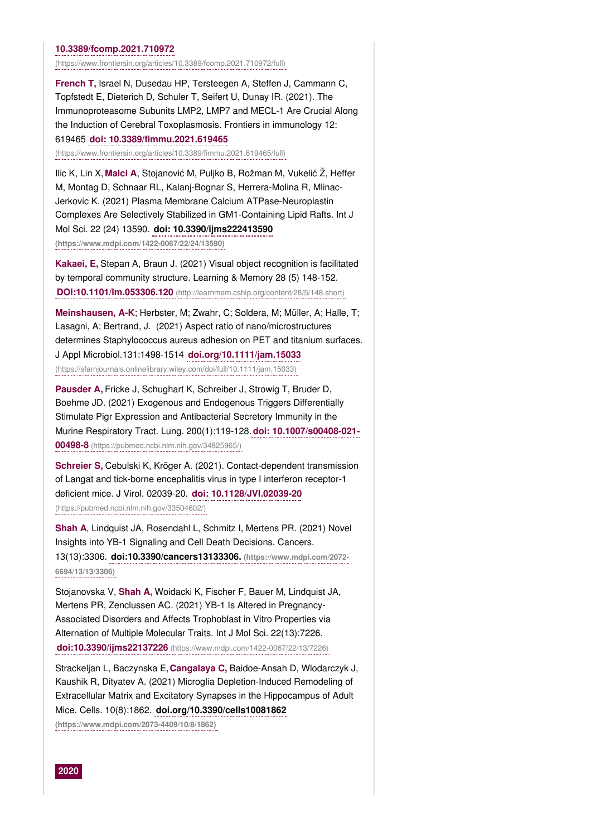#### **10.3389/fcomp.2021.710972**

[\(https://www.frontiersin.org/articles/10.3389/fcomp.2021.710972/full\)](https://www.frontiersin.org/articles/10.3389/fcomp.2021.710972/full)

**French T,** Israel N, Dusedau HP, Tersteegen A, Steffen J, Cammann C, Topfstedt E, Dieterich D, Schuler T, Seifert U, Dunay IR. (2021). The Immunoproteasome Subunits LMP2, LMP7 and MECL-1 Are Crucial Along the Induction of Cerebral Toxoplasmosis. Frontiers in immunology 12: 619465 **doi: 10.3389/fimmu.2021.619465**

[\(https://www.frontiersin.org/articles/10.3389/fimmu.2021.619465/full\)](https://www.frontiersin.org/articles/10.3389/fimmu.2021.619465/full)

Ilic K, Lin X, **Malci A**, Stojanović M, Puljko B, Rožman M, Vukelić Ž, Heffer M, Montag D, Schnaar RL, Kalanj-Bognar S, Herrera-Molina R, Mlinac-Jerkovic K. (2021) Plasma Membrane Calcium ATPase-Neuroplastin Complexes Are Selectively Stabilized in GM1-Containing Lipid Rafts. Int J Mol Sci. 22 (24) 13590. **doi: 10.3390/ijms222413590 [\(https://www.mdpi.com/1422-0067/22/24/13590\)](https://www.mdpi.com/1422-0067/22/24/13590)**

**Kakaei, E,** Stepan A, Braun J. (2021) Visual object recognition is facilitated by temporal community structure. Learning & Memory 28 (5) 148-152. **DOI:10.1101/lm.053306.120** [\(http://learnmem.cshlp.org/content/28/5/148.short\)](http://learnmem.cshlp.org/content/28/5/148.short)

**Meinshausen, A-K**; Herbster, M; Zwahr, C; Soldera, M; Müller, A; Halle, T; Lasagni, A; Bertrand, J. (2021) Aspect ratio of nano/microstructures determines Staphylococcus aureus adhesion on PET and titanium surfaces. J Appl Microbiol.131:1498-1514 **doi.org/10.1111/jam.15033** [\(https://sfamjournals.onlinelibrary.wiley.com/doi/full/10.1111/jam.15033\)](https://sfamjournals.onlinelibrary.wiley.com/doi/full/10.1111/jam.15033)

**Pausder A,** Fricke J, Schughart K, Schreiber J, Strowig T, Bruder D, Boehme JD. (2021) Exogenous and Endogenous Triggers Differentially Stimulate Pigr Expression and Antibacterial Secretory Immunity in the Murine Respiratory Tract. Lung. 200(1):119-128.**doi: 10.1007/s00408-021- 00498-8** [\(https://pubmed.ncbi.nlm.nih.gov/34825965/\)](https://pubmed.ncbi.nlm.nih.gov/34825965/)

**Schreier S,** Cebulski K, Kröger A. (2021). Contact-dependent transmission of Langat and tick-borne encephalitis virus in type I interferon receptor-1 deficient mice. J Virol. 02039-20. **doi: 10.1128/JVI.02039-20** [\(https://pubmed.ncbi.nlm.nih.gov/33504602/\)](https://pubmed.ncbi.nlm.nih.gov/33504602/)

**Shah A**, Lindquist JA, Rosendahl L, Schmitz I, Mertens PR. (2021) Novel Insights into YB-1 Signaling and Cell Death Decisions. Cancers. 13(13):3306. **[doi:10.3390/cancers13133306.](https://www.mdpi.com/2072-6694/13/13/3306) (https://www.mdpi.com/2072- 6694/13/13/3306)**

Stojanovska V, **Shah A,** Woidacki K, Fischer F, Bauer M, Lindquist JA, Mertens PR, Zenclussen AC. (2021) YB-1 Is Altered in Pregnancy-Associated Disorders and Affects Trophoblast in Vitro Properties via Alternation of Multiple Molecular Traits. Int J Mol Sci. 22(13):7226. **doi:10.3390/ijms22137226** [\(https://www.mdpi.com/1422-0067/22/13/7226\)](https://www.mdpi.com/1422-0067/22/13/7226)

Strackeljan L, Baczynska E,**Cangalaya C,** Baidoe-Ansah D, Wlodarczyk J, Kaushik R, Dityatev A. (2021) Microglia Depletion-Induced Remodeling of Extracellular Matrix and Excitatory Synapses in the Hippocampus of Adult Mice. Cells. 10(8):1862. **doi.org/10.3390/cells10081862**

**[\(https://www.mdpi.com/2073-4409/10/8/1862\)](https://www.mdpi.com/2073-4409/10/8/1862)**

**2020**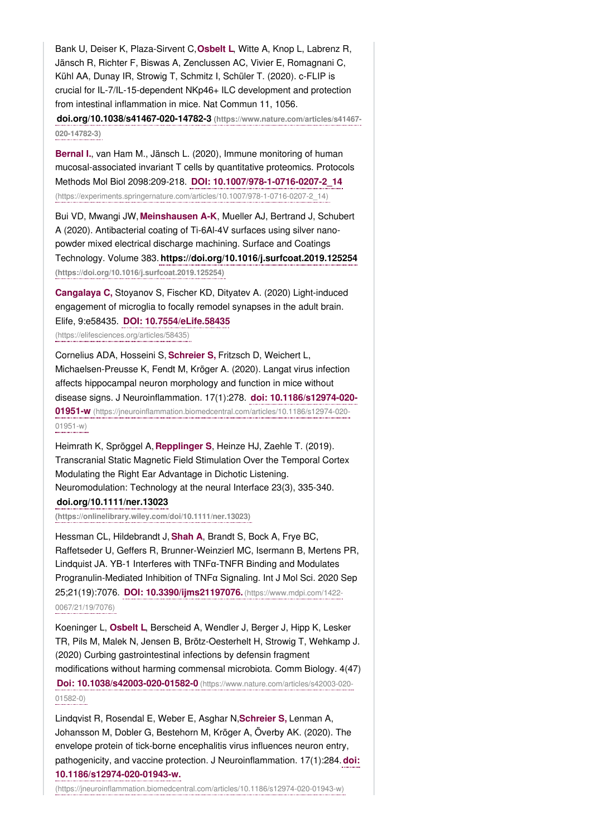Bank U, Deiser K, Plaza-Sirvent C,**Osbelt L**, Witte A, Knop L, Labrenz R, Jänsch R, Richter F, Biswas A, Zenclussen AC, Vivier E, Romagnani C, Kühl AA, Dunay IR, Strowig T, Schmitz I, Schüler T. (2020). c-FLIP is crucial for IL-7/IL-15-dependent NKp46+ ILC development and protection from intestinal inflammation in mice. Nat Commun 11, 1056. **[doi.org/10.1038/s41467-020-14782-3](https://www.nature.com/articles/s41467-020-14782-3) (https://www.nature.com/articles/s41467-**

**020-14782-3)**

**Bernal I.**, van Ham M., Jänsch L. (2020), Immune monitoring of human mucosal-associated invariant T cells by quantitative proteomics. Protocols Methods Mol Biol 2098:209-218. **DOI: 10.1007/978-1-0716-0207-2\_14** [\(https://experiments.springernature.com/articles/10.1007/978-1-0716-0207-2\\_14\)](https://experiments.springernature.com/articles/10.1007/978-1-0716-0207-2_14)

Bui VD, Mwangi JW, **Meinshausen A-K**, Mueller AJ, Bertrand J, Schubert A (2020). Antibacterial coating of Ti-6Al-4V surfaces using silver nanopowder mixed electrical discharge machining. Surface and Coatings Technology. Volume 383. **<https://doi.org/10.1016/j.surfcoat.2019.125254> (https://doi.org/10.1016/j.surfcoat.2019.125254)**

**Cangalaya C,** Stoyanov S, Fischer KD, Dityatev A. (2020) Light-induced engagement of microglia to focally remodel synapses in the adult brain. Elife, 9:e58435. **DOI: 10.7554/eLife.58435**

[\(https://elifesciences.org/articles/58435\)](https://elifesciences.org/articles/58435)

Cornelius ADA, Hosseini S, **Schreier S,** Fritzsch D, Weichert L, Michaelsen-Preusse K, Fendt M, Kröger A. (2020). Langat virus infection affects hippocampal neuron morphology and function in mice without disease signs. J Neuroinflammation. 17(1):278. **doi: 10.1186/s12974-020- 01951-w** [\(https://jneuroinflammation.biomedcentral.com/articles/10.1186/s12974-020-](https://jneuroinflammation.biomedcentral.com/articles/10.1186/s12974-020-01951-w) 01951-w)

Heimrath K, Spröggel A, **Repplinger S**, Heinze HJ, Zaehle T. (2019). Transcranial Static Magnetic Field Stimulation Over the Temporal Cortex Modulating the Right Ear Advantage in Dichotic Listening. Neuromodulation: Technology at the neural Interface 23(3), 335-340. **doi.org/10.1111/ner.13023**

**[\(https://onlinelibrary.wiley.com/doi/10.1111/ner.13023\)](https://onlinelibrary.wiley.com/doi/10.1111/ner.13023)**

Hessman CL, Hildebrandt J, **Shah A**, Brandt S, Bock A, Frye BC, Raffetseder U, Geffers R, Brunner-Weinzierl MC, Isermann B, Mertens PR, Lindquist JA. YB-1 Interferes with TNFα-TNFR Binding and Modulates Progranulin-Mediated Inhibition of TNFα Signaling. Int J Mol Sci. 2020 Sep 25;21(19):7076. **DOI: [10.3390/ijms21197076.](https://www.mdpi.com/1422-0067/21/19/7076)** (https://www.mdpi.com/1422- 0067/21/19/7076)

Koeninger L, **Osbelt L**, Berscheid A, Wendler J, Berger J, Hipp K, Lesker TR, Pils M, Malek N, Jensen B, Brötz-Oesterhelt H, Strowig T, Wehkamp J. (2020) Curbing gastrointestinal infections by defensin fragment modifications without harming commensal microbiota. Comm Biology. 4(47) **Doi: 10.1038/s42003-020-01582-0** [\(https://www.nature.com/articles/s42003-020-](https://www.nature.com/articles/s42003-020-01582-0) 01582-0)

Lindqvist R, Rosendal E, Weber E, Asghar N,**Schreier S,** Lenman A, Johansson M, Dobler G, Bestehorn M, Kröger A, Överby AK. (2020). The envelope protein of tick-borne encephalitis virus influences neuron entry, pathogenicity, and vaccine protection. J Neuroinflammation. 17(1):284.**doi: 10.1186/s12974-020-01943-w.**

[\(https://jneuroinflammation.biomedcentral.com/articles/10.1186/s12974-020-01943-w\)](https://jneuroinflammation.biomedcentral.com/articles/10.1186/s12974-020-01943-w)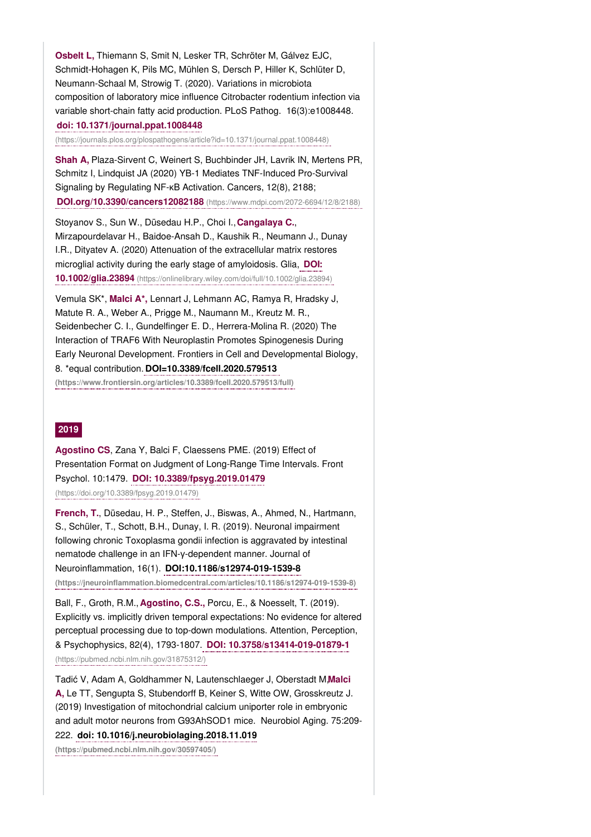**Osbelt L,** Thiemann S, Smit N, Lesker TR, Schröter M, Gálvez EJC, Schmidt-Hohagen K, Pils MC, Mühlen S, Dersch P, Hiller K, Schlüter D, Neumann-Schaal M, Strowig T. (2020). Variations in microbiota composition of laboratory mice influence Citrobacter rodentium infection via variable short-chain fatty acid production. PLoS Pathog. 16(3):e1008448.

# **doi: 10.1371/journal.ppat.1008448**

[\(https://journals.plos.org/plospathogens/article?id=10.1371/journal.ppat.1008448\)](https://journals.plos.org/plospathogens/article?id=10.1371/journal.ppat.1008448)

**Shah A,** Plaza-Sirvent C, Weinert S, Buchbinder JH, Lavrik IN, Mertens PR, Schmitz I, Lindquist JA (2020) YB-1 Mediates TNF-Induced Pro-Survival Signaling by Regulating NF-κB Activation. Cancers, 12(8), 2188; **[DOI.org/10.3390/cancers12082188](https://www.mdpi.com/2072-6694/12/8/2188)** (https://www.mdpi.com/2072-6694/12/8/2188)

Stoyanov S., Sun W., Düsedau H.P., Choi I.,**Cangalaya C.**, Mirzapourdelavar H., Baidoe-Ansah D., Kaushik R., Neumann J., Dunay I.R., Dityatev A. (2020) Attenuation of the extracellular matrix restores microglial activity during the early stage of amyloidosis. Glia, **DOI: 10.1002/glia.23894** [\(https://onlinelibrary.wiley.com/doi/full/10.1002/glia.23894\)](https://onlinelibrary.wiley.com/doi/full/10.1002/glia.23894)

Vemula SK\*, **Malci A\*,** Lennart J, Lehmann AC, Ramya R, Hradsky J, Matute R. A., Weber A., Prigge M., Naumann M., Kreutz M. R., Seidenbecher C. I., Gundelfinger E. D., Herrera-Molina R. (2020) The Interaction of TRAF6 With Neuroplastin Promotes Spinogenesis During Early Neuronal Development. Frontiers in Cell and Developmental Biology, 8. \*equal contribution. **DOI=10.3389/fcell.2020.579513 [\(https://www.frontiersin.org/articles/10.3389/fcell.2020.579513/full\)](https://www.frontiersin.org/articles/10.3389/fcell.2020.579513/full)**

# **2019**

**Agostino CS**, Zana Y, Balci F, Claessens PME. (2019) Effect of Presentation Format on Judgment of Long-Range Time Intervals. Front Psychol. 10:1479. **DOI: 10.3389/fpsyg.2019.01479** [\(https://doi.org/10.3389/fpsyg.2019.01479\)](https://doi.org/10.3389/fpsyg.2019.01479)

**French, T.**, Düsedau, H. P., Steffen, J., Biswas, A., Ahmed, N., Hartmann, S., Schüler, T., Schott, B.H., Dunay, I. R. (2019). Neuronal impairment following chronic Toxoplasma gondii infection is aggravated by intestinal nematode challenge in an IFN-γ-dependent manner. Journal of Neuroinflammation, 16(1). **DOI:10.1186/s12974-019-1539-8**

**[\(https://jneuroinflammation.biomedcentral.com/articles/10.1186/s12974-019-1539-8\)](https://jneuroinflammation.biomedcentral.com/articles/10.1186/s12974-019-1539-8)**

Ball, F., Groth, R.M., **Agostino, C.S.,** Porcu, E., & Noesselt, T. (2019). Explicitly vs. implicitly driven temporal expectations: No evidence for altered perceptual processing due to top-down modulations. Attention, Perception, & Psychophysics, 82(4), 1793-1807. **DOI: 10.3758/s13414-019-01879-1** [\(https://pubmed.ncbi.nlm.nih.gov/31875312/\)](https://pubmed.ncbi.nlm.nih.gov/31875312/)

Tadić V, Adam A, Goldhammer N, Lautenschlaeger J, Oberstadt M,**Malci A,** Le TT, Sengupta S, Stubendorff B, Keiner S, Witte OW, Grosskreutz J. (2019) Investigation of mitochondrial calcium uniporter role in embryonic and adult motor neurons from G93AhSOD1 mice. Neurobiol Aging. 75:209- 222. **doi: [10.1016/j.neurobiolaging.2018.11.019](https://pubmed.ncbi.nlm.nih.gov/30597405/)**

**(https://pubmed.ncbi.nlm.nih.gov/30597405/)**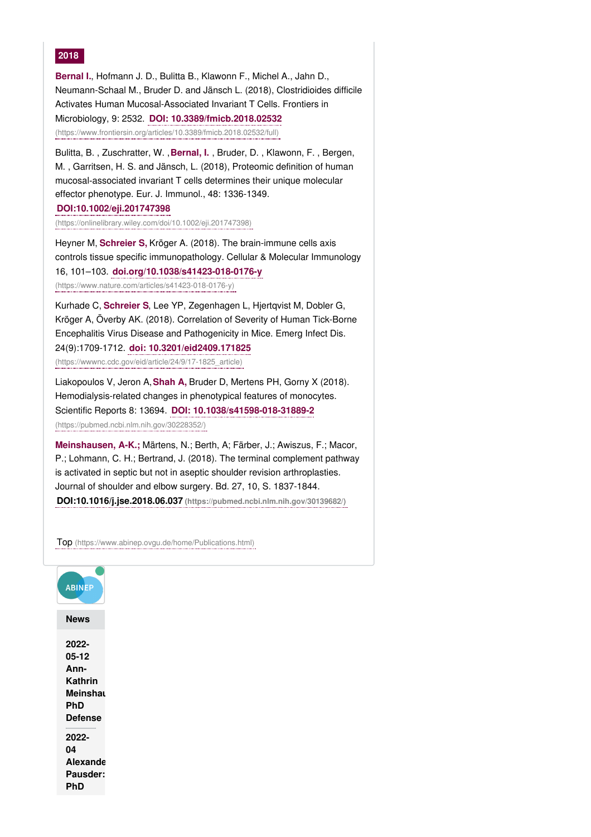# **2018**

**Bernal I.**, Hofmann J. D., Bulitta B., Klawonn F., Michel A., Jahn D., Neumann-Schaal M., Bruder D. and Jänsch L. (2018), Clostridioides difficile Activates Human Mucosal-Associated Invariant T Cells. Frontiers in Microbiology, 9: 2532. **DOI: 10.3389/fmicb.2018.02532** [\(https://www.frontiersin.org/articles/10.3389/fmicb.2018.02532/full\)](https://www.frontiersin.org/articles/10.3389/fmicb.2018.02532/full)

Bulitta, B. , Zuschratter, W. ,**Bernal, I.** , Bruder, D. , Klawonn, F. , Bergen, M. , Garritsen, H. S. and Jänsch, L. (2018), Proteomic definition of human mucosal‐associated invariant T cells determines their unique molecular effector phenotype. Eur. J. Immunol., 48: 1336-1349.

**DOI:10.1002/eji.201747398**

[\(https://onlinelibrary.wiley.com/doi/10.1002/eji.201747398\)](https://onlinelibrary.wiley.com/doi/10.1002/eji.201747398)

Heyner M, **Schreier S,** Kröger A. (2018). The brain-immune cells axis controls tissue specific immunopathology. Cellular & Molecular Immunology 16, 101–103. **doi.org/10.1038/s41423-018-0176-y**

[\(https://www.nature.com/articles/s41423-018-0176-y\)](https://www.nature.com/articles/s41423-018-0176-y)

Kurhade C, **Schreier S**, Lee YP, Zegenhagen L, Hjertqvist M, Dobler G, Kröger A, Överby AK. (2018). Correlation of Severity of Human Tick-Borne Encephalitis Virus Disease and Pathogenicity in Mice. Emerg Infect Dis. 24(9):1709-1712. **doi: 10.3201/eid2409.171825** [\(https://wwwnc.cdc.gov/eid/article/24/9/17-1825\\_article\)](https://wwwnc.cdc.gov/eid/article/24/9/17-1825_article)

Liakopoulos V, Jeron A,**Shah A,** Bruder D, Mertens PH, Gorny X (2018). Hemodialysis-related changes in phenotypical features of monocytes. Scientific Reports 8: 13694. **DOI: 10.1038/s41598-018-31889-2** [\(https://pubmed.ncbi.nlm.nih.gov/30228352/\)](https://pubmed.ncbi.nlm.nih.gov/30228352/)

**Meinshausen, A-K.;** Märtens, N.; Berth, A; Färber, J.; Awiszus, F.; Macor, P.; Lohmann, C. H.; Bertrand, J. (2018). The terminal complement pathway is activated in septic but not in aseptic shoulder revision arthroplasties. Journal of shoulder and elbow surgery. Bd. 27, 10, S. 1837-1844. **DOI:10.1016/j.jse.2018.06.037 [\(https://pubmed.ncbi.nlm.nih.gov/30139682/\)](https://pubmed.ncbi.nlm.nih.gov/30139682/)**

Top [\(https://www.abinep.ovgu.de/home/Publications.html\)](https://www.abinep.ovgu.de/home/Publications.html)

| <b>ABINEP</b>                                                   |
|-----------------------------------------------------------------|
| News                                                            |
| 2022-<br>05-12<br>Ann-<br>Kathrin<br>Meinshaı<br>PhD<br>Defense |
| 2022-<br>04<br>Alexande<br><b>Pausder:</b><br>PhD               |